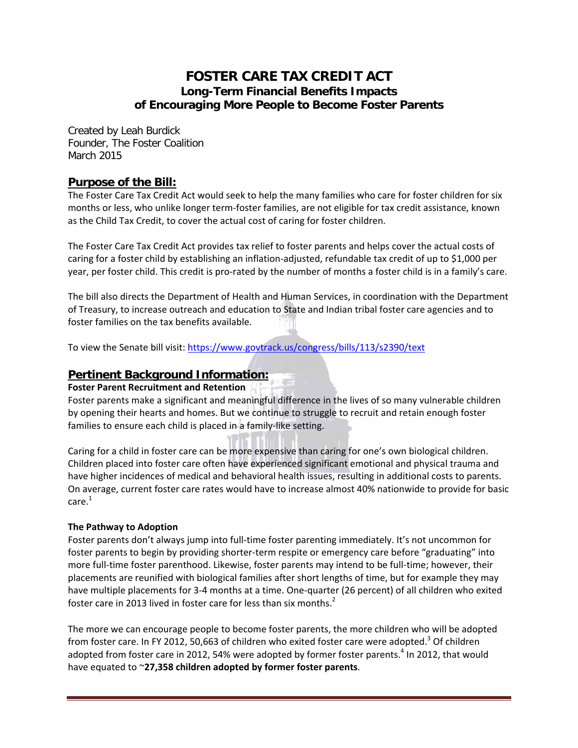# **FOSTER CARE TAX CREDIT ACT Long-Term Financial Benefits Impacts of Encouraging More People to Become Foster Parents**

Created by Leah Burdick Founder, The Foster Coalition March 2015

## **Purpose of the Bill:**

The Foster Care Tax Credit Act would seek to help the many families who care for foster children for six months or less, who unlike longer term‐foster families, are not eligible for tax credit assistance, known as the Child Tax Credit, to cover the actual cost of caring for foster children.

The Foster Care Tax Credit Act provides tax relief to foster parents and helps cover the actual costs of caring for a foster child by establishing an inflation‐adjusted, refundable tax credit of up to \$1,000 per year, per foster child. This credit is pro‐rated by the number of months a foster child is in a family's care.

The bill also directs the Department of Health and Human Services, in coordination with the Department of Treasury, to increase outreach and education to State and Indian tribal foster care agencies and to foster families on the tax benefits available.

To view the Senate bill visit: https://www.govtrack.us/congress/bills/113/s2390/text

## **Pertinent Background Information:**

#### **Foster Parent Recruitment and Retention**

Foster parents make a significant and meaningful difference in the lives of so many vulnerable children by opening their hearts and homes. But we continue to struggle to recruit and retain enough foster families to ensure each child is placed in a family‐like setting.

Caring for a child in foster care can be more expensive than caring for one's own biological children. Children placed into foster care often have experienced significant emotional and physical trauma and have higher incidences of medical and behavioral health issues, resulting in additional costs to parents. On average, current foster care rates would have to increase almost 40% nationwide to provide for basic care.1

### **The Pathway to Adoption**

Foster parents don't always jump into full-time foster parenting immediately. It's not uncommon for foster parents to begin by providing shorter-term respite or emergency care before "graduating" into more full-time foster parenthood. Likewise, foster parents may intend to be full-time; however, their placements are reunified with biological families after short lengths of time, but for example they may have multiple placements for 3-4 months at a time. One-quarter (26 percent) of all children who exited foster care in 2013 lived in foster care for less than six months.<sup>2</sup>

The more we can encourage people to become foster parents, the more children who will be adopted from foster care. In FY 2012, 50,663 of children who exited foster care were adopted.<sup>3</sup> Of children adopted from foster care in 2012, 54% were adopted by former foster parents.<sup>4</sup> In 2012, that would have equated to ~**27,358 children adopted by former foster parents**.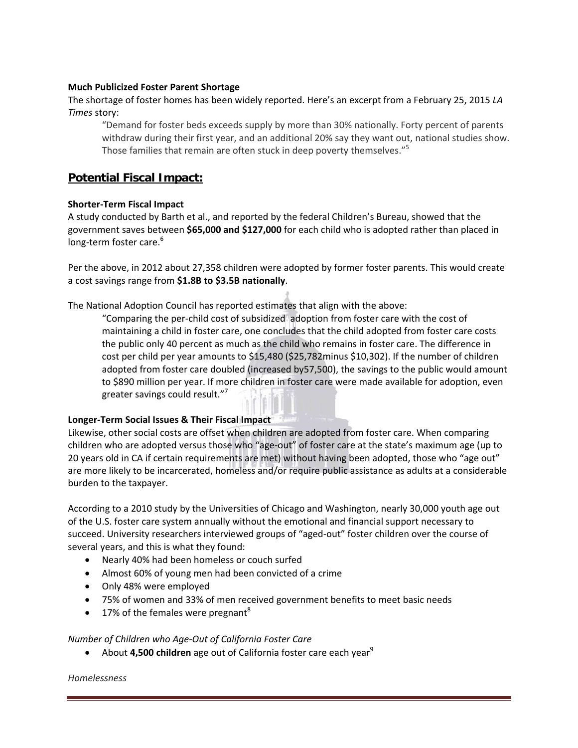#### **Much Publicized Foster Parent Shortage**

### The shortage of foster homes has been widely reported. Here's an excerpt from a February 25, 2015 *LA Times* story:

"Demand for foster beds exceeds supply by more than 30% nationally. Forty percent of parents withdraw during their first year, and an additional 20% say they want out, national studies show. Those families that remain are often stuck in deep poverty themselves."<sup>5</sup>

## **Potential Fiscal Impact:**

#### **Shorter‐Term Fiscal Impact**

A study conducted by Barth et al., and reported by the federal Children's Bureau, showed that the government saves between **\$65,000 and \$127,000** for each child who is adopted rather than placed in long-term foster care.<sup>6</sup>

Per the above, in 2012 about 27,358 children were adopted by former foster parents. This would create a cost savings range from **\$1.8B to \$3.5B nationally**.

The National Adoption Council has reported estimates that align with the above:

"Comparing the per‐child cost of subsidized adoption from foster care with the cost of maintaining a child in foster care, one concludes that the child adopted from foster care costs the public only 40 percent as much as the child who remains in foster care. The difference in cost per child per year amounts to \$15,480 (\$25,782minus \$10,302). If the number of children adopted from foster care doubled (increased by57,500), the savings to the public would amount to \$890 million per year. If more children in foster care were made available for adoption, even greater savings could result."<sup>7</sup>

#### **Longer‐Term Social Issues & Their Fiscal Impact**

Likewise, other social costs are offset when children are adopted from foster care. When comparing children who are adopted versus those who "age‐out" of foster care at the state's maximum age (up to 20 years old in CA if certain requirements are met) without having been adopted, those who "age out" are more likely to be incarcerated, homeless and/or require public assistance as adults at a considerable burden to the taxpayer.

According to a 2010 study by the Universities of Chicago and Washington, nearly 30,000 youth age out of the U.S. foster care system annually without the emotional and financial support necessary to succeed. University researchers interviewed groups of "aged-out" foster children over the course of several years, and this is what they found:

- Nearly 40% had been homeless or couch surfed
- Almost 60% of young men had been convicted of a crime
- Only 48% were employed
- 75% of women and 33% of men received government benefits to meet basic needs
- $\bullet$  17% of the females were pregnant<sup>8</sup>

#### *Number of Children who Age‐Out of California Foster Care*

About **4,500 children** age out of California foster care each year<sup>9</sup>

#### *Homelessness*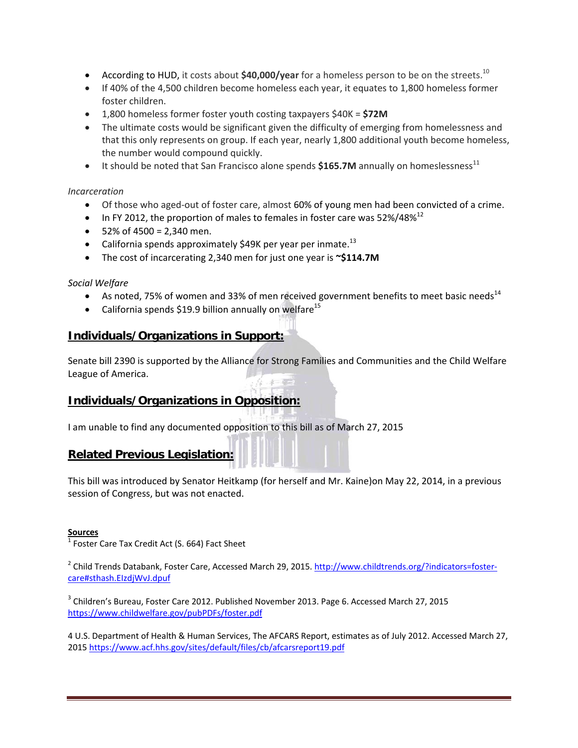- **•** According to HUD, it costs about \$40,000/year for a homeless person to be on the streets.<sup>10</sup>
- If 40% of the 4,500 children become homeless each year, it equates to 1,800 homeless former foster children.
- 1,800 homeless former foster youth costing taxpayers \$40K = **\$72M**
- The ultimate costs would be significant given the difficulty of emerging from homelessness and that this only represents on group. If each year, nearly 1,800 additional youth become homeless, the number would compound quickly.
- $\bullet$  It should be noted that San Francisco alone spends  $$165.7M$  annually on homeslessness<sup>11</sup>

#### *Incarceration*

- Of those who aged-out of foster care, almost 60% of young men had been convicted of a crime.
- In FY 2012, the proportion of males to females in foster care was 52%/48% $^{12}$
- $\bullet$  52% of 4500 = 2,340 men.
- California spends approximately \$49K per year per inmate.<sup>13</sup>
- The cost of incarcerating 2,340 men for just one year is **~\$114.7M**

#### *Social Welfare*

- As noted, 75% of women and 33% of men received government benefits to meet basic needs<sup>14</sup>
- California spends \$19.9 billion annually on welfare<sup>15</sup>

### **Individuals/Organizations in Support:**

Senate bill 2390 is supported by the Alliance for Strong Families and Communities and the Child Welfare League of America.

# **Individuals/Organizations in Opposition:**

I am unable to find any documented opposition to this bill as of March 27, 2015

## **Related Previous Legislation:**

This bill was introduced by Senator Heitkamp (for herself and Mr. Kaine)on May 22, 2014, in a previous session of Congress, but was not enacted.

#### **Sources**

 $\overline{1}$  Foster Care Tax Credit Act (S. 664) Fact Sheet

<sup>2</sup> Child Trends Databank, Foster Care, Accessed March 29, 2015. http://www.childtrends.org/?indicators=fostercare#sthash.EIzdjWvJ.dpuf

<sup>3</sup> Children's Bureau, Foster Care 2012. Published November 2013. Page 6. Accessed March 27, 2015 https://www.childwelfare.gov/pubPDFs/foster.pdf

4 U.S. Department of Health & Human Services, The AFCARS Report, estimates as of July 2012. Accessed March 27, 2015 https://www.acf.hhs.gov/sites/default/files/cb/afcarsreport19.pdf